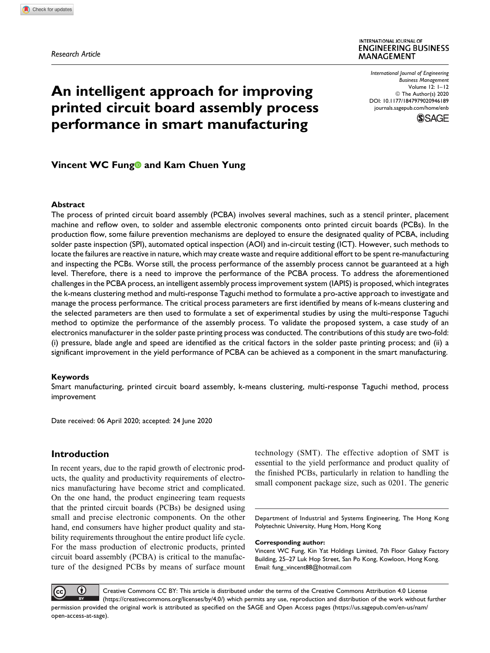Research Article

#### INTERNATIONAL IOURNAL OF **ENGINEERING BUSINESS MANAGEMENT**

International Journal of Engineering Business Management Volume 12: 1–12 © The Author(s) 2020 [DOI: 10.1177/1847979020946189](https://doi.org/10.1177/1847979020946189) [journals.sagepub.com/home/enb](http://journals.sagepub.com/home/enb)



# An intelligent approach for improving printed circuit board assembly process performance in smart manufacturing

# Vincent WC Fung<sup>o</sup> and Kam Chuen Yung

## Abstract

The process of printed circuit board assembly (PCBA) involves several machines, such as a stencil printer, placement machine and reflow oven, to solder and assemble electronic components onto printed circuit boards (PCBs). In the production flow, some failure prevention mechanisms are deployed to ensure the designated quality of PCBA, including solder paste inspection (SPI), automated optical inspection (AOI) and in-circuit testing (ICT). However, such methods to locate the failures are reactive in nature, which may create waste and require additional effort to be spent re-manufacturing and inspecting the PCBs. Worse still, the process performance of the assembly process cannot be guaranteed at a high level. Therefore, there is a need to improve the performance of the PCBA process. To address the aforementioned challenges in the PCBA process, an intelligent assembly process improvement system (IAPIS) is proposed, which integrates the k-means clustering method and multi-response Taguchi method to formulate a pro-active approach to investigate and manage the process performance. The critical process parameters are first identified by means of k-means clustering and the selected parameters are then used to formulate a set of experimental studies by using the multi-response Taguchi method to optimize the performance of the assembly process. To validate the proposed system, a case study of an electronics manufacturer in the solder paste printing process was conducted. The contributions of this study are two-fold: (i) pressure, blade angle and speed are identified as the critical factors in the solder paste printing process; and (ii) a significant improvement in the yield performance of PCBA can be achieved as a component in the smart manufacturing.

# Keywords

Smart manufacturing, printed circuit board assembly, k-means clustering, multi-response Taguchi method, process improvement

Date received: 06 April 2020; accepted: 24 June 2020

# Introduction

In recent years, due to the rapid growth of electronic products, the quality and productivity requirements of electronics manufacturing have become strict and complicated. On the one hand, the product engineering team requests that the printed circuit boards (PCBs) be designed using small and precise electronic components. On the other hand, end consumers have higher product quality and stability requirements throughout the entire product life cycle. For the mass production of electronic products, printed circuit board assembly (PCBA) is critical to the manufacture of the designed PCBs by means of surface mount

technology (SMT). The effective adoption of SMT is essential to the yield performance and product quality of the finished PCBs, particularly in relation to handling the small component package size, such as 0201. The generic

Department of Industrial and Systems Engineering, The Hong Kong Polytechnic University, Hung Hom, Hong Kong

#### Corresponding author:

Vincent WC Fung, Kin Yat Holdings Limited, 7th Floor Galaxy Factory Building, 25–27 Luk Hop Street, San Po Kong, Kowloon, Hong Kong. Email: [fung\\_vincent88@hotmail.com](mailto:fung_vincent88@hotmail.com)

Œ Creative Commons CC BY: This article is distributed under the terms of the Creative Commons Attribution 4.0 License ([https://creativecommons.org/licenses/by/4.0/\)](https://creativecommons.org/licenses/by/4.0/) which permits any use, reproduction and distribution of the work without further permission provided the original work is attributed as specified on the SAGE and Open Access pages [\(https://us.sagepub.com/en-us/nam/](https://us.sagepub.com/en-us/nam/open-access-at-sage) [open-access-at-sage\)](https://us.sagepub.com/en-us/nam/open-access-at-sage).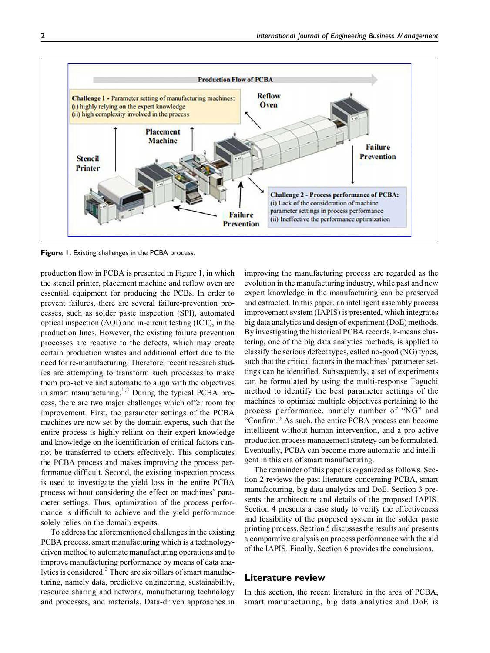

Figure 1. Existing challenges in the PCBA process.

production flow in PCBA is presented in Figure 1, in which the stencil printer, placement machine and reflow oven are essential equipment for producing the PCBs. In order to prevent failures, there are several failure-prevention processes, such as solder paste inspection (SPI), automated optical inspection (AOI) and in-circuit testing (ICT), in the production lines. However, the existing failure prevention processes are reactive to the defects, which may create certain production wastes and additional effort due to the need for re-manufacturing. Therefore, recent research studies are attempting to transform such processes to make them pro-active and automatic to align with the objectives in smart manufacturing.<sup>1,2</sup> During the typical PCBA process, there are two major challenges which offer room for improvement. First, the parameter settings of the PCBA machines are now set by the domain experts, such that the entire process is highly reliant on their expert knowledge and knowledge on the identification of critical factors cannot be transferred to others effectively. This complicates the PCBA process and makes improving the process performance difficult. Second, the existing inspection process is used to investigate the yield loss in the entire PCBA process without considering the effect on machines' parameter settings. Thus, optimization of the process performance is difficult to achieve and the yield performance solely relies on the domain experts.

To address the aforementioned challenges in the existing PCBA process, smart manufacturing which is a technologydriven method to automate manufacturing operations and to improve manufacturing performance by means of data analytics is considered. $3$  There are six pillars of smart manufacturing, namely data, predictive engineering, sustainability, resource sharing and network, manufacturing technology and processes, and materials. Data-driven approaches in improving the manufacturing process are regarded as the evolution in the manufacturing industry, while past and new expert knowledge in the manufacturing can be preserved and extracted. In this paper, an intelligent assembly process improvement system (IAPIS) is presented, which integrates big data analytics and design of experiment (DoE) methods. By investigating the historical PCBA records, k-means clustering, one of the big data analytics methods, is applied to classify the serious defect types, called no-good (NG) types, such that the critical factors in the machines' parameter settings can be identified. Subsequently, a set of experiments can be formulated by using the multi-response Taguchi method to identify the best parameter settings of the machines to optimize multiple objectives pertaining to the process performance, namely number of "NG" and "Confirm." As such, the entire PCBA process can become intelligent without human intervention, and a pro-active production process management strategy can be formulated. Eventually, PCBA can become more automatic and intelligent in this era of smart manufacturing.

The remainder of this paper is organized as follows. Section 2 reviews the past literature concerning PCBA, smart manufacturing, big data analytics and DoE. Section 3 presents the architecture and details of the proposed IAPIS. Section 4 presents a case study to verify the effectiveness and feasibility of the proposed system in the solder paste printing process. Section 5 discusses the results and presents a comparative analysis on process performance with the aid of the IAPIS. Finally, Section 6 provides the conclusions.

## Literature review

In this section, the recent literature in the area of PCBA, smart manufacturing, big data analytics and DoE is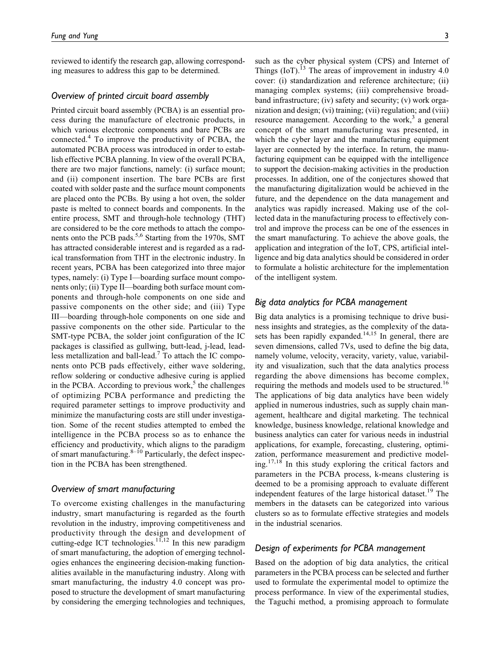reviewed to identify the research gap, allowing corresponding measures to address this gap to be determined.

# Overview of printed circuit board assembly

Printed circuit board assembly (PCBA) is an essential process during the manufacture of electronic products, in which various electronic components and bare PCBs are connected.<sup>4</sup> To improve the productivity of PCBA, the automated PCBA process was introduced in order to establish effective PCBA planning. In view of the overall PCBA, there are two major functions, namely: (i) surface mount; and (ii) component insertion. The bare PCBs are first coated with solder paste and the surface mount components are placed onto the PCBs. By using a hot oven, the solder paste is melted to connect boards and components. In the entire process, SMT and through-hole technology (THT) are considered to be the core methods to attach the components onto the PCB pads.<sup>5,6</sup> Starting from the 1970s, SMT has attracted considerable interest and is regarded as a radical transformation from THT in the electronic industry. In recent years, PCBA has been categorized into three major types, namely: (i) Type I—boarding surface mount components only; (ii) Type II—boarding both surface mount components and through-hole components on one side and passive components on the other side; and (iii) Type III—boarding through-hole components on one side and passive components on the other side. Particular to the SMT-type PCBA, the solder joint configuration of the IC packages is classified as gullwing, butt-lead, j-lead, leadless metallization and ball-lead.<sup>7</sup> To attach the IC components onto PCB pads effectively, either wave soldering, reflow soldering or conductive adhesive curing is applied in the PCBA. According to previous work, $<sup>5</sup>$  the challenges</sup> of optimizing PCBA performance and predicting the required parameter settings to improve productivity and minimize the manufacturing costs are still under investigation. Some of the recent studies attempted to embed the intelligence in the PCBA process so as to enhance the efficiency and productivity, which aligns to the paradigm of smart manufacturing. $8-10$  Particularly, the defect inspection in the PCBA has been strengthened.

# Overview of smart manufacturing

To overcome existing challenges in the manufacturing industry, smart manufacturing is regarded as the fourth revolution in the industry, improving competitiveness and productivity through the design and development of cutting-edge ICT technologies.<sup>11,12</sup> In this new paradigm of smart manufacturing, the adoption of emerging technologies enhances the engineering decision-making functionalities available in the manufacturing industry. Along with smart manufacturing, the industry 4.0 concept was proposed to structure the development of smart manufacturing by considering the emerging technologies and techniques,

such as the cyber physical system (CPS) and Internet of Things  $(IoT)$ .<sup>13</sup> The areas of improvement in industry 4.0 cover: (i) standardization and reference architecture; (ii) managing complex systems; (iii) comprehensive broadband infrastructure; (iv) safety and security; (v) work organization and design; (vi) training; (vii) regulation; and (viii) resource management. According to the work, $3$  a general concept of the smart manufacturing was presented, in which the cyber layer and the manufacturing equipment layer are connected by the interface. In return, the manufacturing equipment can be equipped with the intelligence to support the decision-making activities in the production processes. In addition, one of the conjectures showed that the manufacturing digitalization would be achieved in the future, and the dependence on the data management and analytics was rapidly increased. Making use of the collected data in the manufacturing process to effectively control and improve the process can be one of the essences in the smart manufacturing. To achieve the above goals, the application and integration of the IoT, CPS, artificial intelligence and big data analytics should be considered in order to formulate a holistic architecture for the implementation of the intelligent system.

# Big data analytics for PCBA management

Big data analytics is a promising technique to drive business insights and strategies, as the complexity of the datasets has been rapidly expanded.<sup>14,15</sup> In general, there are seven dimensions, called 7Vs, used to define the big data, namely volume, velocity, veracity, variety, value, variability and visualization, such that the data analytics process regarding the above dimensions has become complex, requiring the methods and models used to be structured.<sup>16</sup> The applications of big data analytics have been widely applied in numerous industries, such as supply chain management, healthcare and digital marketing. The technical knowledge, business knowledge, relational knowledge and business analytics can cater for various needs in industrial applications, for example, forecasting, clustering, optimization, performance measurement and predictive modeling.<sup>17,18</sup> In this study exploring the critical factors and parameters in the PCBA process, k-means clustering is deemed to be a promising approach to evaluate different independent features of the large historical dataset.<sup>19</sup> The members in the datasets can be categorized into various clusters so as to formulate effective strategies and models in the industrial scenarios.

# Design of experiments for PCBA management

Based on the adoption of big data analytics, the critical parameters in the PCBA process can be selected and further used to formulate the experimental model to optimize the process performance. In view of the experimental studies, the Taguchi method, a promising approach to formulate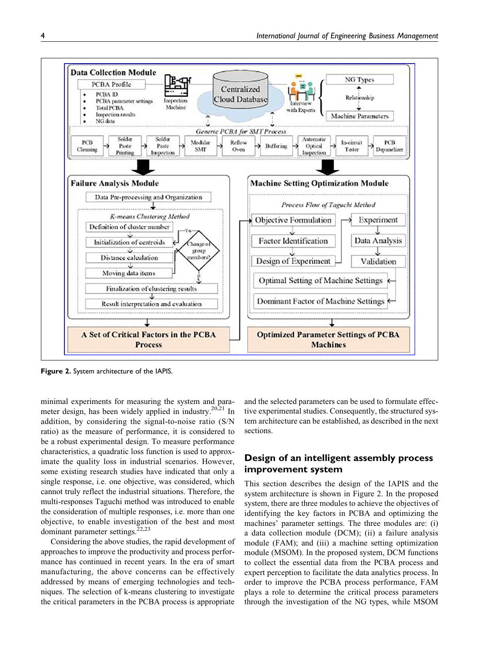

Figure 2. System architecture of the IAPIS.

minimal experiments for measuring the system and parameter design, has been widely applied in industry.<sup>20,21</sup> In addition, by considering the signal-to-noise ratio (S/N ratio) as the measure of performance, it is considered to be a robust experimental design. To measure performance characteristics, a quadratic loss function is used to approximate the quality loss in industrial scenarios. However, some existing research studies have indicated that only a single response, i.e. one objective, was considered, which cannot truly reflect the industrial situations. Therefore, the multi-responses Taguchi method was introduced to enable the consideration of multiple responses, i.e. more than one objective, to enable investigation of the best and most dominant parameter settings.<sup>22,23</sup>

Considering the above studies, the rapid development of approaches to improve the productivity and process performance has continued in recent years. In the era of smart manufacturing, the above concerns can be effectively addressed by means of emerging technologies and techniques. The selection of k-means clustering to investigate the critical parameters in the PCBA process is appropriate

and the selected parameters can be used to formulate effective experimental studies. Consequently, the structured system architecture can be established, as described in the next sections.

# Design of an intelligent assembly process improvement system

This section describes the design of the IAPIS and the system architecture is shown in Figure 2. In the proposed system, there are three modules to achieve the objectives of identifying the key factors in PCBA and optimizing the machines' parameter settings. The three modules are: (i) a data collection module (DCM); (ii) a failure analysis module (FAM); and (iii) a machine setting optimization module (MSOM). In the proposed system, DCM functions to collect the essential data from the PCBA process and expert perception to facilitate the data analytics process. In order to improve the PCBA process performance, FAM plays a role to determine the critical process parameters through the investigation of the NG types, while MSOM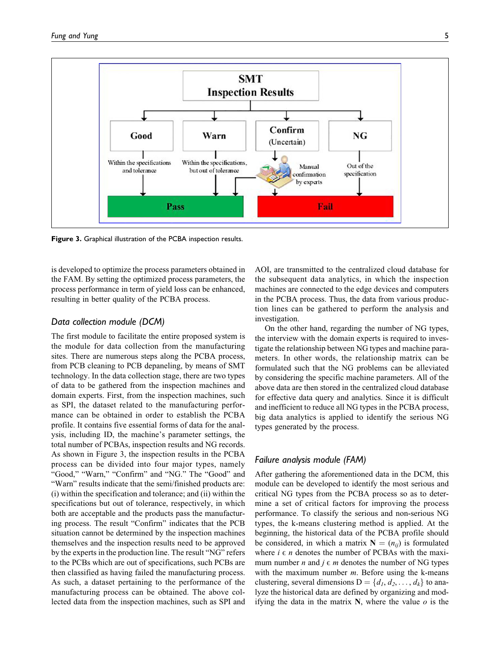

Figure 3. Graphical illustration of the PCBA inspection results.

is developed to optimize the process parameters obtained in the FAM. By setting the optimized process parameters, the process performance in term of yield loss can be enhanced, resulting in better quality of the PCBA process.

#### Data collection module (DCM)

The first module to facilitate the entire proposed system is the module for data collection from the manufacturing sites. There are numerous steps along the PCBA process, from PCB cleaning to PCB depaneling, by means of SMT technology. In the data collection stage, there are two types of data to be gathered from the inspection machines and domain experts. First, from the inspection machines, such as SPI, the dataset related to the manufacturing performance can be obtained in order to establish the PCBA profile. It contains five essential forms of data for the analysis, including ID, the machine's parameter settings, the total number of PCBAs, inspection results and NG records. As shown in Figure 3, the inspection results in the PCBA process can be divided into four major types, namely "Good," "Warn," "Confirm" and "NG." The "Good" and "Warn" results indicate that the semi/finished products are: (i) within the specification and tolerance; and (ii) within the specifications but out of tolerance, respectively, in which both are acceptable and the products pass the manufacturing process. The result "Confirm" indicates that the PCB situation cannot be determined by the inspection machines themselves and the inspection results need to be approved by the experts in the production line. The result "NG" refers to the PCBs which are out of specifications, such PCBs are then classified as having failed the manufacturing process. As such, a dataset pertaining to the performance of the manufacturing process can be obtained. The above collected data from the inspection machines, such as SPI and

AOI, are transmitted to the centralized cloud database for the subsequent data analytics, in which the inspection machines are connected to the edge devices and computers in the PCBA process. Thus, the data from various production lines can be gathered to perform the analysis and investigation.

On the other hand, regarding the number of NG types, the interview with the domain experts is required to investigate the relationship between NG types and machine parameters. In other words, the relationship matrix can be formulated such that the NG problems can be alleviated by considering the specific machine parameters. All of the above data are then stored in the centralized cloud database for effective data query and analytics. Since it is difficult and inefficient to reduce all NG types in the PCBA process, big data analytics is applied to identify the serious NG types generated by the process.

# Failure analysis module (FAM)

After gathering the aforementioned data in the DCM, this module can be developed to identify the most serious and critical NG types from the PCBA process so as to determine a set of critical factors for improving the process performance. To classify the serious and non-serious NG types, the k-means clustering method is applied. At the beginning, the historical data of the PCBA profile should be considered, in which a matrix  $N = (n_{ii})$  is formulated where  $i \in n$  denotes the number of PCBAs with the maximum number *n* and  $j \in m$  denotes the number of NG types with the maximum number  $m$ . Before using the k-means clustering, several dimensions  $D = \{d_1, d_2, \ldots, d_k\}$  to analyze the historical data are defined by organizing and modifying the data in the matrix  $N$ , where the value  $o$  is the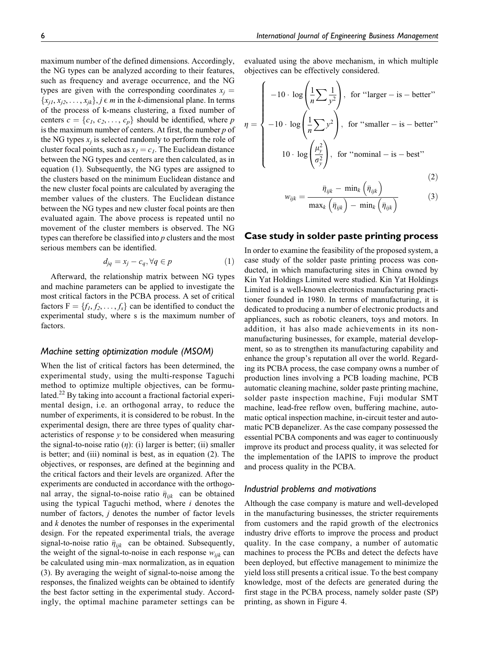maximum number of the defined dimensions. Accordingly, the NG types can be analyzed according to their features, such as frequency and average occurrence, and the NG types are given with the corresponding coordinates  $x_i =$  ${x_{j1}, x_{j2}, \ldots, x_{jk}}$ ,  $j \in m$  in the k-dimensional plane. In terms of the process of k-means clustering, a fixed number of centers  $c = \{c_1, c_2, \ldots, c_p\}$  should be identified, where p is the maximum number of centers. At first, the number  $p$  of the NG types  $x_i$  is selected randomly to perform the role of cluster focal points, such as  $x_1 = c_1$ . The Euclidean distance between the NG types and centers are then calculated, as in equation (1). Subsequently, the NG types are assigned to the clusters based on the minimum Euclidean distance and the new cluster focal points are calculated by averaging the member values of the clusters. The Euclidean distance between the NG types and new cluster focal points are then evaluated again. The above process is repeated until no movement of the cluster members is observed. The NG types can therefore be classified into p clusters and the most serious members can be identified.

$$
d_{jq} = x_j - c_q, \forall q \in p \tag{1}
$$

Afterward, the relationship matrix between NG types and machine parameters can be applied to investigate the most critical factors in the PCBA process. A set of critical factors  $F = \{f_1, f_2, \ldots, f_s\}$  can be identified to conduct the experimental study, where s is the maximum number of factors.

#### Machine setting optimization module (MSOM)

When the list of critical factors has been determined, the experimental study, using the multi-response Taguchi method to optimize multiple objectives, can be formulated.<sup>22</sup> By taking into account a fractional factorial experimental design, i.e. an orthogonal array, to reduce the number of experiments, it is considered to be robust. In the experimental design, there are three types of quality characteristics of response  $y$  to be considered when measuring the signal-to-noise ratio  $(\eta)$ : (i) larger is better; (ii) smaller is better; and (iii) nominal is best, as in equation (2). The objectives, or responses, are defined at the beginning and the critical factors and their levels are organized. After the experiments are conducted in accordance with the orthogonal array, the signal-to-noise ratio  $\bar{\eta}_{ijk}$  can be obtained using the typical Taguchi method, where  $i$  denotes the number of factors, j denotes the number of factor levels and  $k$  denotes the number of responses in the experimental design. For the repeated experimental trials, the average signal-to-noise ratio  $\bar{\eta}_{ijk}$  can be obtained. Subsequently, the weight of the signal-to-noise in each response  $w_{ijk}$  can be calculated using min–max normalization, as in equation (3). By averaging the weight of signal-to-noise among the responses, the finalized weights can be obtained to identify the best factor setting in the experimental study. Accordingly, the optimal machine parameter settings can be evaluated using the above mechanism, in which multiple objectives can be effectively considered.

$$
\eta = \begin{cases}\n-10 \cdot \log \left(\frac{1}{n} \sum \frac{1}{y^2}\right), & \text{for "larger - is - better"} \\
-10 \cdot \log \left(\frac{1}{n} \sum y^2\right), & \text{for "smaller - is - better"} \\
10 \cdot \log \left(\frac{\mu_y^2}{\sigma_y^2}\right), & \text{for "nominal - is - best"}\n\end{cases}
$$
\n
$$
\bar{\eta}_{ijk} = \min_k \left(\bar{\eta}_{ijk}\right)
$$
\n(2)

$$
w_{ijk} = \frac{\bar{\eta}_{ijk} - \min_k \left(\bar{\eta}_{ijk}\right)}{\max_k \left(\bar{\eta}_{ijk}\right) - \min_k \left(\bar{\eta}_{ijk}\right)}
$$
(3)

# Case study in solder paste printing process

In order to examine the feasibility of the proposed system, a case study of the solder paste printing process was conducted, in which manufacturing sites in China owned by Kin Yat Holdings Limited were studied. Kin Yat Holdings Limited is a well-known electronics manufacturing practitioner founded in 1980. In terms of manufacturing, it is dedicated to producing a number of electronic products and appliances, such as robotic cleaners, toys and motors. In addition, it has also made achievements in its nonmanufacturing businesses, for example, material development, so as to strengthen its manufacturing capability and enhance the group's reputation all over the world. Regarding its PCBA process, the case company owns a number of production lines involving a PCB loading machine, PCB automatic cleaning machine, solder paste printing machine, solder paste inspection machine, Fuji modular SMT machine, lead-free reflow oven, buffering machine, automatic optical inspection machine, in-circuit tester and automatic PCB depanelizer. As the case company possessed the essential PCBA components and was eager to continuously improve its product and process quality, it was selected for the implementation of the IAPIS to improve the product and process quality in the PCBA.

## Industrial problems and motivations

Although the case company is mature and well-developed in the manufacturing businesses, the stricter requirements from customers and the rapid growth of the electronics industry drive efforts to improve the process and product quality. In the case company, a number of automatic machines to process the PCBs and detect the defects have been deployed, but effective management to minimize the yield loss still presents a critical issue. To the best company knowledge, most of the defects are generated during the first stage in the PCBA process, namely solder paste (SP) printing, as shown in Figure 4.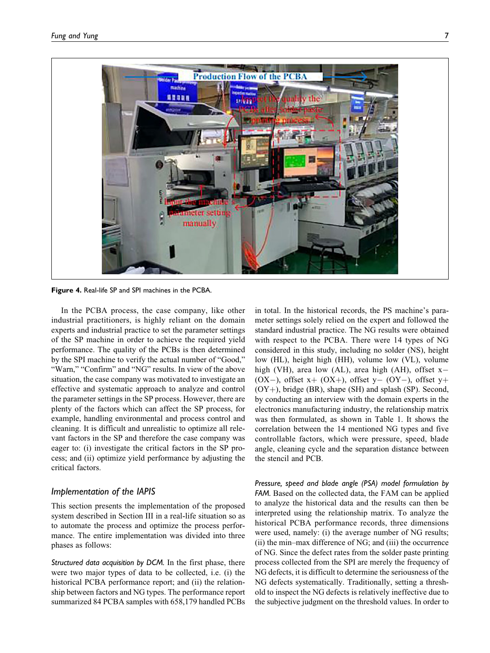

Figure 4. Real-life SP and SPI machines in the PCBA.

In the PCBA process, the case company, like other industrial practitioners, is highly reliant on the domain experts and industrial practice to set the parameter settings of the SP machine in order to achieve the required yield performance. The quality of the PCBs is then determined by the SPI machine to verify the actual number of "Good," "Warn," "Confirm" and "NG" results. In view of the above situation, the case company was motivated to investigate an effective and systematic approach to analyze and control the parameter settings in the SP process. However, there are plenty of the factors which can affect the SP process, for example, handling environmental and process control and cleaning. It is difficult and unrealistic to optimize all relevant factors in the SP and therefore the case company was eager to: (i) investigate the critical factors in the SP process; and (ii) optimize yield performance by adjusting the critical factors.

# Implementation of the IAPIS

This section presents the implementation of the proposed system described in Section III in a real-life situation so as to automate the process and optimize the process performance. The entire implementation was divided into three phases as follows:

Structured data acquisition by DCM. In the first phase, there were two major types of data to be collected, i.e. (i) the historical PCBA performance report; and (ii) the relationship between factors and NG types. The performance report summarized 84 PCBA samples with 658,179 handled PCBs

in total. In the historical records, the PS machine's parameter settings solely relied on the expert and followed the standard industrial practice. The NG results were obtained with respect to the PCBA. There were 14 types of NG considered in this study, including no solder (NS), height low (HL), height high (HH), volume low (VL), volume high (VH), area low (AL), area high (AH), offset  $x (OX-)$ , offset  $x+ (OX+)$ , offset  $y- (OY-)$ , offset  $y+$  $(OY+)$ , bridge (BR), shape (SH) and splash (SP). Second, by conducting an interview with the domain experts in the electronics manufacturing industry, the relationship matrix was then formulated, as shown in Table 1. It shows the correlation between the 14 mentioned NG types and five controllable factors, which were pressure, speed, blade angle, cleaning cycle and the separation distance between the stencil and PCB.

Pressure, speed and blade angle (PSA) model formulation by FAM. Based on the collected data, the FAM can be applied to analyze the historical data and the results can then be interpreted using the relationship matrix. To analyze the historical PCBA performance records, three dimensions were used, namely: (i) the average number of NG results; (ii) the min–max difference of NG; and (iii) the occurrence of NG. Since the defect rates from the solder paste printing process collected from the SPI are merely the frequency of NG defects, it is difficult to determine the seriousness of the NG defects systematically. Traditionally, setting a threshold to inspect the NG defects is relatively ineffective due to the subjective judgment on the threshold values. In order to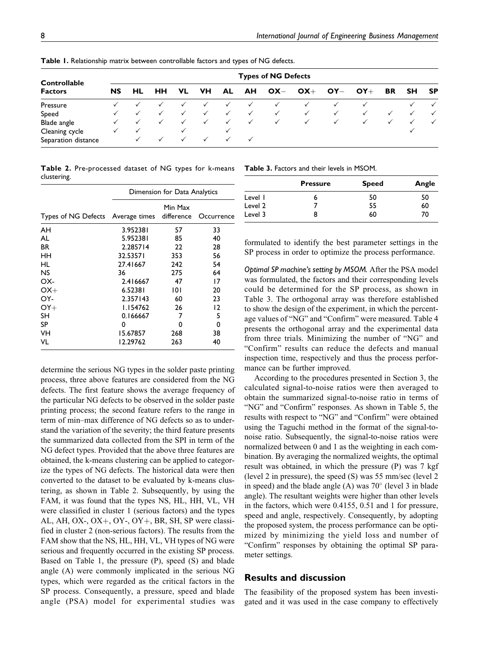|                                       |              | <b>Types of NG Defects</b> |              |              |              |              |              |              |              |              |              |              |              |              |
|---------------------------------------|--------------|----------------------------|--------------|--------------|--------------|--------------|--------------|--------------|--------------|--------------|--------------|--------------|--------------|--------------|
| <b>Controllable</b><br><b>Factors</b> | NS.          | HL.                        | HН           | VL.          | VH.          | <b>AL</b>    | AH           | OX-          | $OX+$ $OY-$  |              | $OY +$       | <b>BR</b>    | <b>SH</b>    | <b>SP</b>    |
| Pressure                              |              |                            |              |              |              |              | $\checkmark$ | $\checkmark$ | $\checkmark$ | $\checkmark$ |              |              |              | $\checkmark$ |
| Speed                                 | $\checkmark$ | $\checkmark$               | $\checkmark$ | $\checkmark$ | $\checkmark$ | $\checkmark$ | $\checkmark$ | $\checkmark$ | $\checkmark$ | $\checkmark$ | $\checkmark$ | $\checkmark$ | $\checkmark$ | $\checkmark$ |
| Blade angle                           | $\checkmark$ | $\checkmark$               | $\checkmark$ | $\checkmark$ | $\checkmark$ | $\checkmark$ | $\checkmark$ | $\checkmark$ | $\checkmark$ | $\checkmark$ | $\checkmark$ | $\checkmark$ | $\checkmark$ | $\checkmark$ |
| Cleaning cycle                        | ✓            |                            |              |              |              |              |              |              |              |              |              |              |              |              |
| Separation distance                   |              |                            |              |              |              |              |              |              |              |              |              |              |              |              |

Table 1. Relationship matrix between controllable factors and types of NG defects.

|             | Table 2. Pre-processed dataset of NG types for k-means |  |  |  |
|-------------|--------------------------------------------------------|--|--|--|
| clustering. |                                                        |  |  |  |

|                                                         | Dimension for Data Analytics |         |    |  |  |  |  |
|---------------------------------------------------------|------------------------------|---------|----|--|--|--|--|
| Types of NG Defects Average times difference Occurrence |                              | Min Max |    |  |  |  |  |
| AH                                                      | 3.952381                     | 57      | 33 |  |  |  |  |
| AL                                                      | 5.952381                     | 85      | 40 |  |  |  |  |
| <b>BR</b>                                               | 2.285714                     | 22      | 28 |  |  |  |  |
| HН                                                      | 32.53571                     | 353     | 56 |  |  |  |  |
| HL                                                      | 27.41667                     | 242     | 54 |  |  |  |  |
| <b>NS</b>                                               | 36                           | 275     | 64 |  |  |  |  |
| OX-                                                     | 2.416667                     | -47     | 17 |  |  |  |  |
| $OX+$                                                   | 6.52381                      | 101     | 20 |  |  |  |  |
| OY-                                                     | 2.357143                     | 60      | 23 |  |  |  |  |
| $OY +$                                                  | LI54762                      | 26      | 12 |  |  |  |  |
| SН                                                      | 0.166667                     | 7       | 5  |  |  |  |  |
| SP                                                      | 0                            | 0       | 0  |  |  |  |  |
| VH                                                      | 15.67857                     | 268     | 38 |  |  |  |  |
| VL                                                      | 12.29762                     | 263     | 40 |  |  |  |  |

determine the serious NG types in the solder paste printing process, three above features are considered from the NG defects. The first feature shows the average frequency of the particular NG defects to be observed in the solder paste printing process; the second feature refers to the range in term of min–max difference of NG defects so as to understand the variation of the severity; the third feature presents the summarized data collected from the SPI in term of the NG defect types. Provided that the above three features are obtained, the k-means clustering can be applied to categorize the types of NG defects. The historical data were then converted to the dataset to be evaluated by k-means clustering, as shown in Table 2. Subsequently, by using the FAM, it was found that the types NS, HL, HH, VL, VH were classified in cluster 1 (serious factors) and the types AL, AH, OX-, OX+, OY-, OY+, BR, SH, SP were classified in cluster 2 (non-serious factors). The results from the FAM show that the NS, HL, HH, VL, VH types of NG were serious and frequently occurred in the existing SP process. Based on Table 1, the pressure (P), speed (S) and blade angle (A) were commonly implicated in the serious NG types, which were regarded as the critical factors in the SP process. Consequently, a pressure, speed and blade angle (PSA) model for experimental studies was

| <b>Table 3.</b> Factors and their levels in MSOM. |
|---------------------------------------------------|
|---------------------------------------------------|

|         | <b>Pressure</b> | <b>Speed</b> | Angle |
|---------|-----------------|--------------|-------|
| Level I | o               | 50           | 50    |
| Level 2 |                 | 55           | 60    |
| Level 3 | 8               | 60           | 70    |

formulated to identify the best parameter settings in the SP process in order to optimize the process performance.

Optimal SP machine's setting by MSOM. After the PSA model was formulated, the factors and their corresponding levels could be determined for the SP process, as shown in Table 3. The orthogonal array was therefore established to show the design of the experiment, in which the percentage values of "NG" and "Confirm" were measured. Table 4 presents the orthogonal array and the experimental data from three trials. Minimizing the number of "NG" and "Confirm" results can reduce the defects and manual inspection time, respectively and thus the process performance can be further improved.

According to the procedures presented in Section 3, the calculated signal-to-noise ratios were then averaged to obtain the summarized signal-to-noise ratio in terms of "NG" and "Confirm" responses. As shown in Table 5, the results with respect to "NG" and "Confirm" were obtained using the Taguchi method in the format of the signal-tonoise ratio. Subsequently, the signal-to-noise ratios were normalized between 0 and 1 as the weighting in each combination. By averaging the normalized weights, the optimal result was obtained, in which the pressure (P) was 7 kgf (level 2 in pressure), the speed (S) was 55 mm/sec (level 2 in speed) and the blade angle  $(A)$  was  $70^{\circ}$  (level 3 in blade angle). The resultant weights were higher than other levels in the factors, which were 0.4155, 0.51 and 1 for pressure, speed and angle, respectively. Consequently, by adopting the proposed system, the process performance can be optimized by minimizing the yield loss and number of "Confirm" responses by obtaining the optimal SP parameter settings.

# Results and discussion

The feasibility of the proposed system has been investigated and it was used in the case company to effectively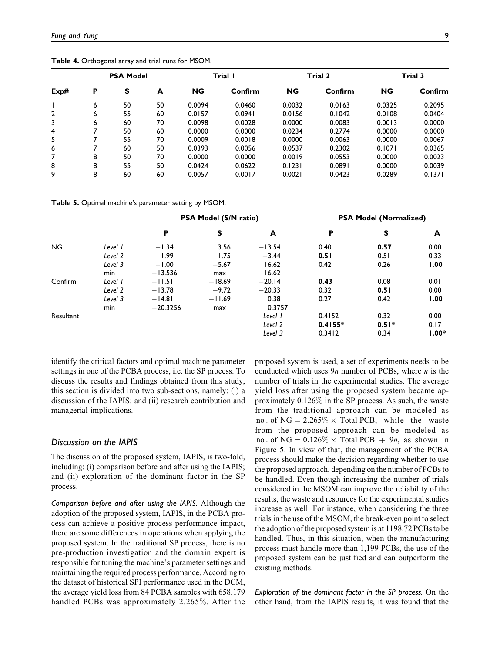|                |   | <b>PSA Model</b> |    |        | Trial I |           | Trial 2 | Trial 3   |         |
|----------------|---|------------------|----|--------|---------|-----------|---------|-----------|---------|
| Exp#           | Ρ | s                | A  | NG     | Confirm | <b>NG</b> | Confirm | <b>NG</b> | Confirm |
|                | 6 | 50               | 50 | 0.0094 | 0.0460  | 0.0032    | 0.0163  | 0.0325    | 0.2095  |
| $\overline{2}$ | 6 | 55               | 60 | 0.0157 | 0.0941  | 0.0156    | 0.1042  | 0.0108    | 0.0404  |
| 3              | 6 | 60               | 70 | 0.0098 | 0.0028  | 0.0000    | 0.0083  | 0.0013    | 0.0000  |
| 4              |   | 50               | 60 | 0.0000 | 0.0000  | 0.0234    | 0.2774  | 0.0000    | 0.0000  |
| 5              | ⇁ | 55               | 70 | 0.0009 | 0.0018  | 0.0000    | 0.0063  | 0.0000    | 0.0067  |
| 6              |   | 60               | 50 | 0.0393 | 0.0056  | 0.0537    | 0.2302  | 0.1071    | 0.0365  |
| 7              | 8 | 50               | 70 | 0.0000 | 0.0000  | 0.0019    | 0.0553  | 0.0000    | 0.0023  |
| 8              | 8 | 55               | 50 | 0.0424 | 0.0622  | 0.1231    | 0.0891  | 0.0000    | 0.0039  |
| 9              | 8 | 60               | 60 | 0.0057 | 0.0017  | 0.0021    | 0.0423  | 0.0289    | 0.1371  |

Table 4. Orthogonal array and trial runs for MSOM.

Table 5. Optimal machine's parameter setting by MSOM.

|           |         |            | PSA Model (S/N ratio) |          | <b>PSA Model (Normalized)</b> |         |         |  |
|-----------|---------|------------|-----------------------|----------|-------------------------------|---------|---------|--|
|           |         | P          | S                     | A        | P                             | S       | A       |  |
| <b>NG</b> | Level 1 | $-1.34$    | 3.56                  | $-13.54$ | 0.40                          | 0.57    | 0.00    |  |
|           | Level 2 | 1.99       | 1.75                  | $-3.44$  | 0.51                          | 0.51    | 0.33    |  |
|           | Level 3 | $-1.00$    | $-5.67$               | 16.62    | 0.42                          | 0.26    | 1.00    |  |
|           | min     | $-13.536$  | max                   | 16.62    |                               |         |         |  |
| Confirm   | Level 1 | $-11.51$   | $-18.69$              | $-20.14$ | 0.43                          | 0.08    | 0.01    |  |
|           | Level 2 | $-13.78$   | $-9.72$               | $-20.33$ | 0.32                          | 0.51    | 0.00    |  |
|           | Level 3 | $-14.81$   | $-11.69$              | 0.38     | 0.27                          | 0.42    | 1.00    |  |
|           | min     | $-20.3256$ | max                   | 0.3757   |                               |         |         |  |
| Resultant |         |            |                       | Level 1  | 0.4152                        | 0.32    | 0.00    |  |
|           |         |            |                       | Level 2  | $0.4155*$                     | $0.51*$ | 0.17    |  |
|           |         |            |                       | Level 3  | 0.3412                        | 0.34    | $1.00*$ |  |

identify the critical factors and optimal machine parameter settings in one of the PCBA process, i.e. the SP process. To discuss the results and findings obtained from this study, this section is divided into two sub-sections, namely: (i) a discussion of the IAPIS; and (ii) research contribution and managerial implications.

# Discussion on the IAPIS

The discussion of the proposed system, IAPIS, is two-fold, including: (i) comparison before and after using the IAPIS; and (ii) exploration of the dominant factor in the SP process.

Comparison before and after using the IAPIS. Although the adoption of the proposed system, IAPIS, in the PCBA process can achieve a positive process performance impact, there are some differences in operations when applying the proposed system. In the traditional SP process, there is no pre-production investigation and the domain expert is responsible for tuning the machine's parameter settings and maintaining the required process performance. According to the dataset of historical SPI performance used in the DCM, the average yield loss from 84 PCBA samples with 658,179 handled PCBs was approximately 2.265%. After the

proposed system is used, a set of experiments needs to be conducted which uses  $9n$  number of PCBs, where *n* is the number of trials in the experimental studies. The average yield loss after using the proposed system became approximately 0.126% in the SP process. As such, the waste from the traditional approach can be modeled as no of  $NG = 2.265\% \times Total PCB$ , while the waste from the proposed approach can be modeled as no  $\cdot$  of NG = 0.126%  $\times$  Total PCB  $+$  9n, as shown in Figure 5. In view of that, the management of the PCBA process should make the decision regarding whether to use the proposed approach, depending on the number of PCBs to be handled. Even though increasing the number of trials considered in the MSOM can improve the reliability of the results, the waste and resources for the experimental studies increase as well. For instance, when considering the three trials in the use of the MSOM, the break-even point to select the adoption of the proposed system is at 1198.72 PCBs to be handled. Thus, in this situation, when the manufacturing process must handle more than 1,199 PCBs, the use of the proposed system can be justified and can outperform the existing methods.

Exploration of the dominant factor in the SP process. On the other hand, from the IAPIS results, it was found that the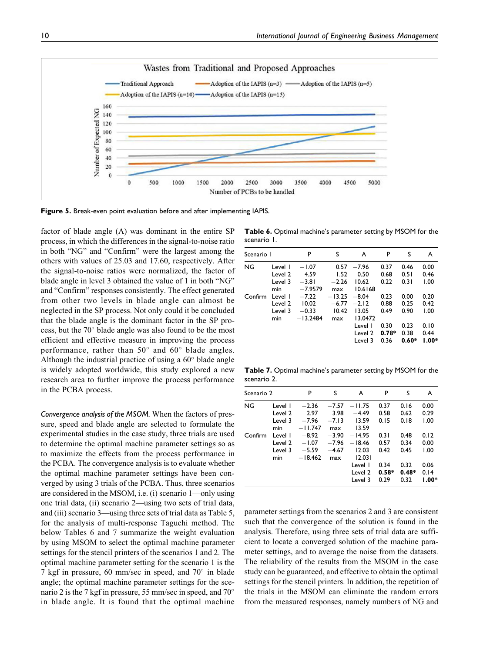

Figure 5. Break-even point evaluation before and after implementing IAPIS.

factor of blade angle (A) was dominant in the entire SP process, in which the differences in the signal-to-noise ratio in both "NG" and "Confirm" were the largest among the others with values of 25.03 and 17.60, respectively. After the signal-to-noise ratios were normalized, the factor of blade angle in level 3 obtained the value of 1 in both "NG" and "Confirm" responses consistently. The effect generated from other two levels in blade angle can almost be neglected in the SP process. Not only could it be concluded that the blade angle is the dominant factor in the SP process, but the  $70^{\circ}$  blade angle was also found to be the most efficient and effective measure in improving the process performance, rather than  $50^{\circ}$  and  $60^{\circ}$  blade angles. Although the industrial practice of using a  $60^\circ$  blade angle is widely adopted worldwide, this study explored a new research area to further improve the process performance in the PCBA process.

Convergence analysis of the MSOM. When the factors of pressure, speed and blade angle are selected to formulate the experimental studies in the case study, three trials are used to determine the optimal machine parameter settings so as to maximize the effects from the process performance in the PCBA. The convergence analysis is to evaluate whether the optimal machine parameter settings have been converged by using 3 trials of the PCBA. Thus, three scenarios are considered in the MSOM, i.e. (i) scenario 1—only using one trial data, (ii) scenario 2—using two sets of trial data, and (iii) scenario 3—using three sets of trial data as Table 5, for the analysis of multi-response Taguchi method. The below Tables 6 and 7 summarize the weight evaluation by using MSOM to select the optimal machine parameter settings for the stencil printers of the scenarios 1 and 2. The optimal machine parameter setting for the scenario 1 is the 7 kgf in pressure, 60 mm/sec in speed, and  $70^{\circ}$  in blade angle; the optimal machine parameter settings for the scenario 2 is the 7 kgf in pressure, 55 mm/sec in speed, and 70 in blade angle. It is found that the optimal machine

Table 6. Optimal machine's parameter setting by MSOM for the scenario 1.

| Scenario I |                                             | P                                                      | S                                          | A                                                 | P                       | S                       | A                     |
|------------|---------------------------------------------|--------------------------------------------------------|--------------------------------------------|---------------------------------------------------|-------------------------|-------------------------|-----------------------|
| <b>NG</b>  | Level I<br>Level 2<br>Level 3               | $-1.07$<br>4.59<br>$-3.81$                             | 0.57<br>1.52<br>$-2.26$                    | $-7.96$<br>0.50<br>10.62                          | 0.37<br>0.68<br>0.22    | 0.46<br>0.51<br>0.31    | 0.00<br>0.46<br>1.00  |
| Confirm    | min<br>Level I<br>Level 2<br>Level 3<br>min | $-7.9579$<br>$-7.22$<br>10.02<br>$-0.33$<br>$-13.2484$ | max<br>$-13.25$<br>$-6.77$<br>10.42<br>max | 10.6168<br>$-8.04$<br>$-2.12$<br>13.05<br>13.0472 | 0.23<br>0.88<br>0.49    | 0.00<br>0.25<br>0.90    | 0.20<br>0.42<br>1.00  |
|            |                                             |                                                        |                                            | Level I<br>Level 2<br>Level 3                     | 0.30<br>$0.78*$<br>0.36 | 0.23<br>0.38<br>$0.60*$ | 0.10<br>0.44<br>∗1.00 |

Table 7. Optimal machine's parameter setting by MSOM for the scenario 2.

| NG<br>$-2.36$<br>$-7.57$<br>Level I<br>3.98<br>2.97<br>Level 2<br>$-7.13$<br>Level 3<br>$-7.96$<br>$-11.747$<br>min<br>max<br>Confirm<br>$-8.92$<br>$-3.90$<br>Level I |          | P       | S       | A       |  |
|------------------------------------------------------------------------------------------------------------------------------------------------------------------------|----------|---------|---------|---------|--|
|                                                                                                                                                                        | $-11.75$ | 0.37    | 0.16    | 0.00    |  |
|                                                                                                                                                                        | $-4.49$  | 0.58    | 0.62    | 0.29    |  |
|                                                                                                                                                                        | 13.59    | 0.15    | 0.18    | 1.00    |  |
|                                                                                                                                                                        | 13.59    |         |         |         |  |
|                                                                                                                                                                        | $-14.95$ | 0.31    | 0.48    | 0.12    |  |
| $-1.07$<br>$-7.96$<br>Level 2                                                                                                                                          | $-18.46$ | 0.57    | 0.34    | 0.00    |  |
| $-4.67$<br>Level 3<br>$-5.59$                                                                                                                                          | 12.03    | 0.42    | 0.45    | 1.00    |  |
| $-18.462$<br>min<br>max                                                                                                                                                | 12.031   |         |         |         |  |
|                                                                                                                                                                        | Level I  | 0.34    | 0.32    | 0.06    |  |
|                                                                                                                                                                        | Level 2  | $0.58*$ | $0.48*$ | 0.14    |  |
|                                                                                                                                                                        | Level 3  | 0.29    | 0.32    | $1.00*$ |  |

parameter settings from the scenarios 2 and 3 are consistent such that the convergence of the solution is found in the analysis. Therefore, using three sets of trial data are sufficient to locate a converged solution of the machine parameter settings, and to average the noise from the datasets. The reliability of the results from the MSOM in the case study can be guaranteed, and effective to obtain the optimal settings for the stencil printers. In addition, the repetition of the trials in the MSOM can eliminate the random errors from the measured responses, namely numbers of NG and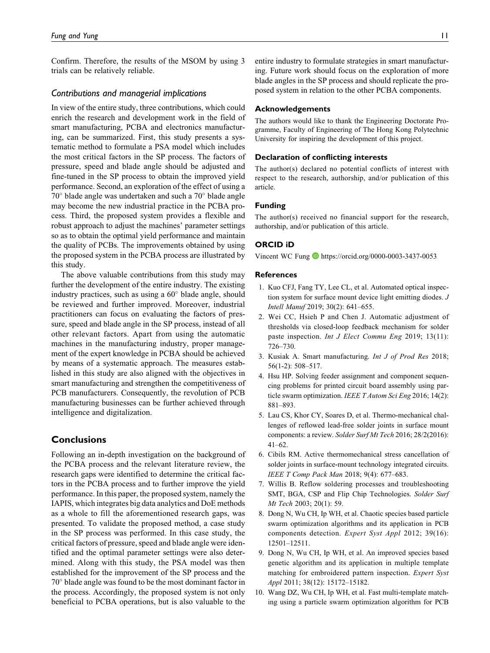Confirm. Therefore, the results of the MSOM by using 3 trials can be relatively reliable.

# Contributions and managerial implications

In view of the entire study, three contributions, which could enrich the research and development work in the field of smart manufacturing, PCBA and electronics manufacturing, can be summarized. First, this study presents a systematic method to formulate a PSA model which includes the most critical factors in the SP process. The factors of pressure, speed and blade angle should be adjusted and fine-tuned in the SP process to obtain the improved yield performance. Second, an exploration of the effect of using a  $70^{\circ}$  blade angle was undertaken and such a  $70^{\circ}$  blade angle may become the new industrial practice in the PCBA process. Third, the proposed system provides a flexible and robust approach to adjust the machines' parameter settings so as to obtain the optimal yield performance and maintain the quality of PCBs. The improvements obtained by using the proposed system in the PCBA process are illustrated by this study.

The above valuable contributions from this study may further the development of the entire industry. The existing industry practices, such as using a  $60^\circ$  blade angle, should be reviewed and further improved. Moreover, industrial practitioners can focus on evaluating the factors of pressure, speed and blade angle in the SP process, instead of all other relevant factors. Apart from using the automatic machines in the manufacturing industry, proper management of the expert knowledge in PCBA should be achieved by means of a systematic approach. The measures established in this study are also aligned with the objectives in smart manufacturing and strengthen the competitiveness of PCB manufacturers. Consequently, the revolution of PCB manufacturing businesses can be further achieved through intelligence and digitalization.

# **Conclusions**

Following an in-depth investigation on the background of the PCBA process and the relevant literature review, the research gaps were identified to determine the critical factors in the PCBA process and to further improve the yield performance. In this paper, the proposed system, namely the IAPIS, which integrates big data analytics and DoE methods as a whole to fill the aforementioned research gaps, was presented. To validate the proposed method, a case study in the SP process was performed. In this case study, the critical factors of pressure, speed and blade angle were identified and the optimal parameter settings were also determined. Along with this study, the PSA model was then established for the improvement of the SP process and the  $70^\circ$  blade angle was found to be the most dominant factor in the process. Accordingly, the proposed system is not only beneficial to PCBA operations, but is also valuable to the

entire industry to formulate strategies in smart manufacturing. Future work should focus on the exploration of more blade angles in the SP process and should replicate the proposed system in relation to the other PCBA components.

#### Acknowledgements

The authors would like to thank the Engineering Doctorate Programme, Faculty of Engineering of The Hong Kong Polytechnic University for inspiring the development of this project.

## Declaration of conflicting interests

The author(s) declared no potential conflicts of interest with respect to the research, authorship, and/or publication of this article.

#### Funding

The author(s) received no financial support for the research, authorship, and/or publication of this article.

#### ORCID iD

Vincent WC Fung **b** <https://orcid.org/0000-0003-3437-0053>

#### **References**

- 1. Kuo CFJ, Fang TY, Lee CL, et al. Automated optical inspection system for surface mount device light emitting diodes. J Intell Manuf 2019; 30(2): 641–655.
- 2. Wei CC, Hsieh P and Chen J. Automatic adjustment of thresholds via closed-loop feedback mechanism for solder paste inspection. Int J Elect Commu Eng 2019; 13(11): 726–730.
- 3. Kusiak A. Smart manufacturing. Int J of Prod Res 2018; 56(1-2): 508–517.
- 4. Hsu HP. Solving feeder assignment and component sequencing problems for printed circuit board assembly using particle swarm optimization. IEEE T Autom Sci Eng 2016; 14(2): 881–893.
- 5. Lau CS, Khor CY, Soares D, et al. Thermo-mechanical challenges of reflowed lead-free solder joints in surface mount components: a review. Solder Surf Mt Tech 2016; 28/2(2016):  $41-62$
- 6. Cibils RM. Active thermomechanical stress cancellation of solder joints in surface-mount technology integrated circuits. IEEE T Comp Pack Man 2018; 9(4): 677–683.
- 7. Willis B. Reflow soldering processes and troubleshooting SMT, BGA, CSP and Flip Chip Technologies. Solder Surf Mt Tech 2003; 20(1): 59.
- 8. Dong N, Wu CH, Ip WH, et al. Chaotic species based particle swarm optimization algorithms and its application in PCB components detection. Expert Syst Appl 2012; 39(16): 12501–12511.
- 9. Dong N, Wu CH, Ip WH, et al. An improved species based genetic algorithm and its application in multiple template matching for embroidered pattern inspection. Expert Syst Appl 2011; 38(12): 15172–15182.
- 10. Wang DZ, Wu CH, Ip WH, et al. Fast multi-template matching using a particle swarm optimization algorithm for PCB